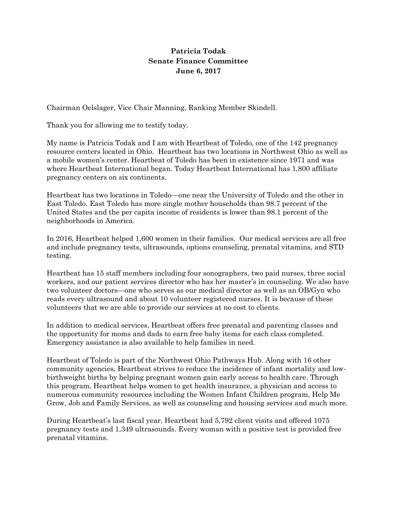## **Patricia Todak Senate Finance Committee June 6, 2017**

Chairman Oelslager, Vice Chair Manning, Ranking Member Skindell.

Thank you for allowing me to testify today.

My name is Patricia Todak and I am with Heartbeat of Toledo, one of the 142 pregnancy resource centers located in Ohio. Heartbeat has two locations in Northwest Ohio as well as a mobile women's center. Heartbeat of Toledo has been in existence since 1971 and was where Heartbeat International began. Today Heartbeat International has 1,800 affiliate pregnancy centers on six continents.

Heartbeat has two locations in Toledo—one near the University of Toledo and the other in East Toledo. East Toledo has more single mother households than 98.7 percent of the United States and the per capita income of residents is lower than 98.1 percent of the neighborhoods in America.

In 2016, Heartbeat helped 1,600 women in their families. Our medical services are all free and include pregnancy tests, ultrasounds, options counseling, prenatal vitamins, and STD testing.

Heartbeat has 15 staff members including four sonographers, two paid nurses, three social workers, and our patient services director who has her master's in counseling. We also have two volunteer doctors—one who serves as our medical director as well as an OB/Gyn who reads every ultrasound and about 10 volunteer registered nurses. It is because of these volunteers that we are able to provide our services at no cost to clients.

In addition to medical services, Heartbeat offers free prenatal and parenting classes and the opportunity for moms and dads to earn free baby items for each class completed. Emergency assistance is also available to help families in need.

Heartbeat of Toledo is part of the Northwest Ohio Pathways Hub. Along with 16 other community agencies, Heartbeat strives to reduce the incidence of infant mortality and lowbirthweight births by helping pregnant women gain early access to health care. Through this program, Heartbeat helps women to get health insurance, a physician and access to numerous community resources including the Women Infant Children program, Help Me Grow, Job and Family Services, as well as counseling and housing services and much more.

During Heartbeat's last fiscal year, Heartbeat had 5,792 client visits and offered 1075 pregnancy tests and 1,349 ultrasounds. Every woman with a positive test is provided free prenatal vitamins.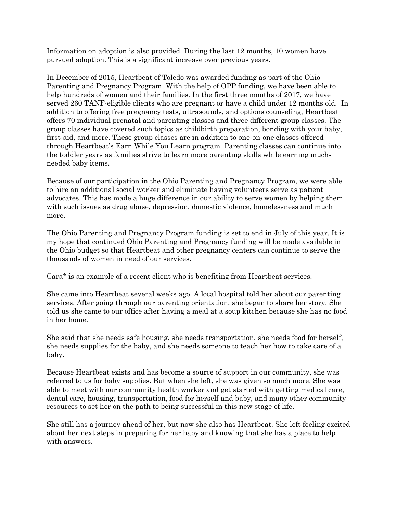Information on adoption is also provided. During the last 12 months, 10 women have pursued adoption. This is a significant increase over previous years.

In December of 2015, Heartbeat of Toledo was awarded funding as part of the Ohio Parenting and Pregnancy Program. With the help of OPP funding, we have been able to help hundreds of women and their families. In the first three months of 2017, we have served 260 TANF-eligible clients who are pregnant or have a child under 12 months old. In addition to offering free pregnancy tests, ultrasounds, and options counseling, Heartbeat offers 70 individual prenatal and parenting classes and three different group classes. The group classes have covered such topics as childbirth preparation, bonding with your baby, first-aid, and more. These group classes are in addition to one-on-one classes offered through Heartbeat's Earn While You Learn program. Parenting classes can continue into the toddler years as families strive to learn more parenting skills while earning muchneeded baby items.

Because of our participation in the Ohio Parenting and Pregnancy Program, we were able to hire an additional social worker and eliminate having volunteers serve as patient advocates. This has made a huge difference in our ability to serve women by helping them with such issues as drug abuse, depression, domestic violence, homelessness and much more.

The Ohio Parenting and Pregnancy Program funding is set to end in July of this year. It is my hope that continued Ohio Parenting and Pregnancy funding will be made available in the Ohio budget so that Heartbeat and other pregnancy centers can continue to serve the thousands of women in need of our services.

Cara\* is an example of a recent client who is benefiting from Heartbeat services.

She came into Heartbeat several weeks ago. A local hospital told her about our parenting services. After going through our parenting orientation, she began to share her story. She told us she came to our office after having a meal at a soup kitchen because she has no food in her home.

She said that she needs safe housing, she needs transportation, she needs food for herself, she needs supplies for the baby, and she needs someone to teach her how to take care of a baby.

Because Heartbeat exists and has become a source of support in our community, she was referred to us for baby supplies. But when she left, she was given so much more. She was able to meet with our community health worker and get started with getting medical care, dental care, housing, transportation, food for herself and baby, and many other community resources to set her on the path to being successful in this new stage of life.

She still has a journey ahead of her, but now she also has Heartbeat. She left feeling excited about her next steps in preparing for her baby and knowing that she has a place to help with answers.